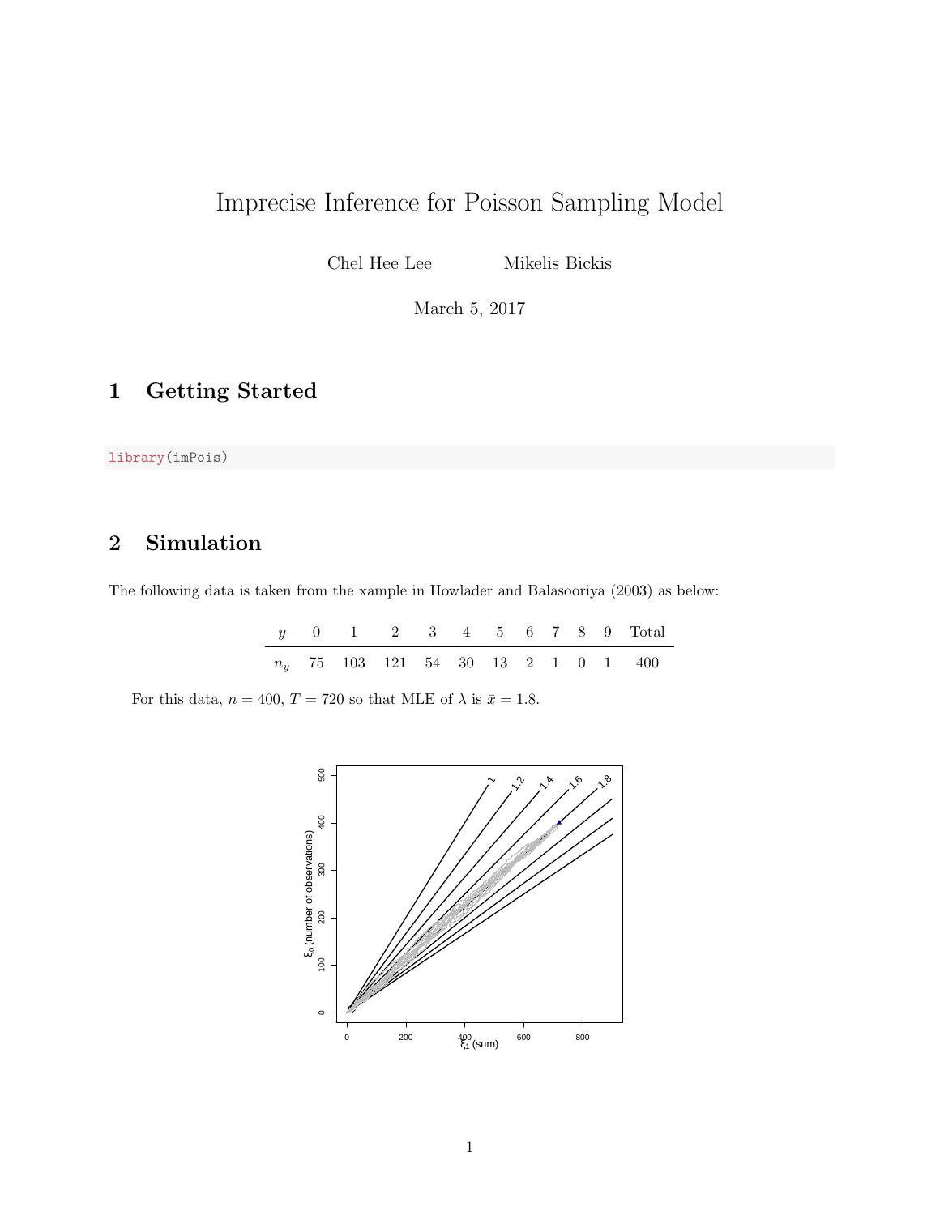# Imprecise Inference for Poisson Sampling Model

Chel Hee Lee Mikelis Bickis

March 5, 2017

## 1 Getting Started

library(imPois)

### 2 Simulation

The following data is taken from the xample in Howlader and Balasooriya (2003) as below:

|  |  |  |  |  | y 0 1 2 3 4 5 6 7 8 9 Total           |
|--|--|--|--|--|---------------------------------------|
|  |  |  |  |  | $n_y$ 75 103 121 54 30 13 2 1 0 1 400 |

For this data,  $n = 400$ ,  $T = 720$  so that MLE of  $\lambda$  is  $\bar{x} = 1.8$ .

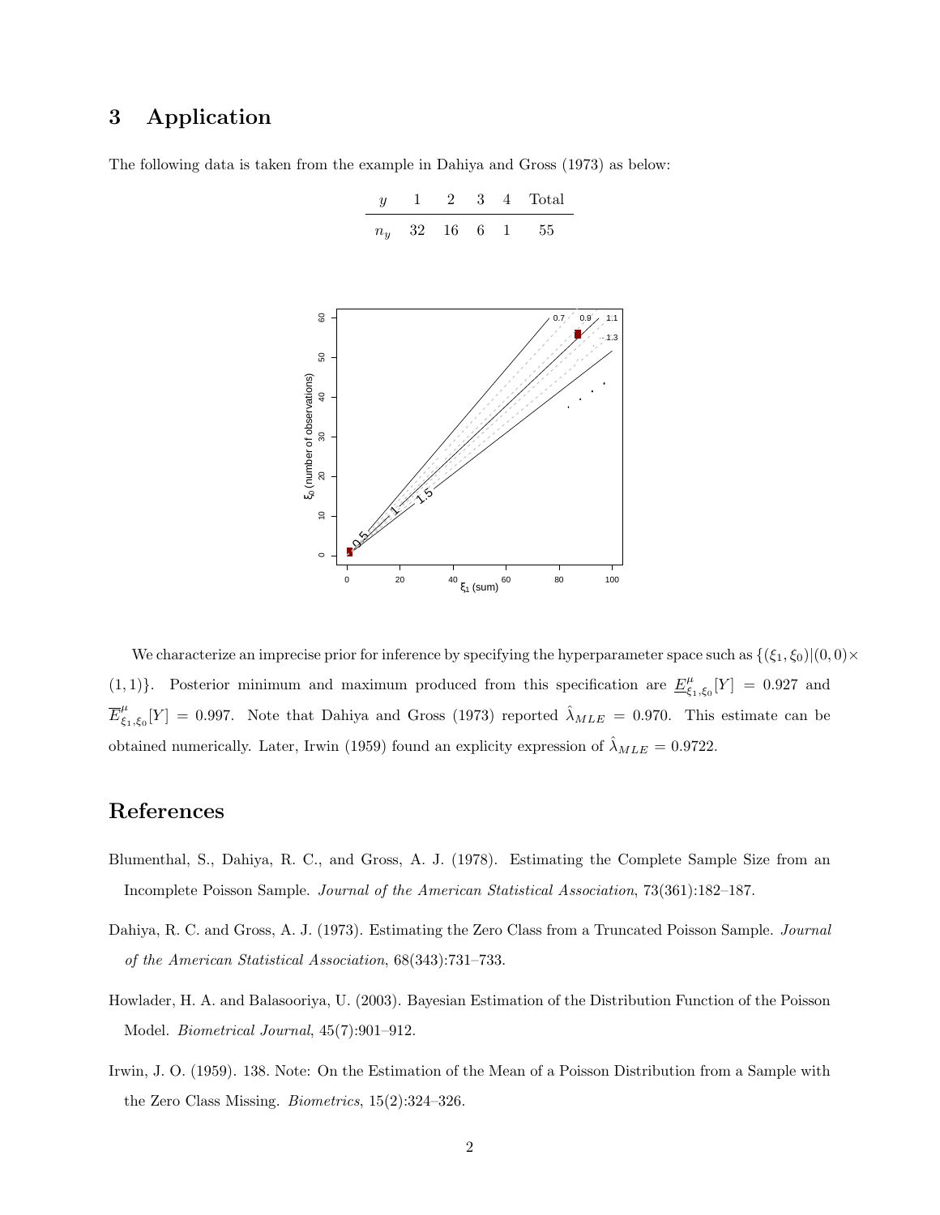#### 3 Application

The following data is taken from the example in Dahiya and Gross (1973) as below:

|                                  |                 | 32<br>16<br>6<br>$\mathbf 1$<br>55<br>$n_y$                    |  |
|----------------------------------|-----------------|----------------------------------------------------------------|--|
|                                  |                 |                                                                |  |
|                                  |                 |                                                                |  |
| $\xi_0$ (number of observations) | 60              | $^{0.9'}$<br>1:1<br>0.7                                        |  |
|                                  |                 | 1.3                                                            |  |
|                                  | 50              |                                                                |  |
|                                  |                 |                                                                |  |
|                                  | $\overline{a}$  |                                                                |  |
|                                  | $\overline{30}$ |                                                                |  |
|                                  |                 |                                                                |  |
|                                  | $20\,$          |                                                                |  |
|                                  | $\tilde{a}$     |                                                                |  |
|                                  |                 |                                                                |  |
|                                  | $\circ$         | $\mathbf{I}$                                                   |  |
|                                  |                 | $\mathbf{0}$<br>60<br>20<br>$^{40}$ $\xi_1$ (sum)<br>100<br>80 |  |

2 3 4 Total

We characterize an imprecise prior for inference by specifying the hyperparameter space such as  $\{(\xi_1, \xi_0)|(0, 0) \times$ (1, 1). Posterior minimum and maximum produced from this specification are  $\underline{E}^{\mu}_{\xi_1,\xi_0}[Y] = 0.927$  and  $\overline{E}_{\varepsilon}^{\mu}$  $\hat{\zeta}_{1,\xi_0}[Y] = 0.997$ . Note that Dahiya and Gross (1973) reported  $\hat{\lambda}_{MLE} = 0.970$ . This estimate can be obtained numerically. Later, Irwin (1959) found an explicity expression of  $\hat{\lambda}_{MLE} = 0.9722$ .

#### References

- Blumenthal, S., Dahiya, R. C., and Gross, A. J. (1978). Estimating the Complete Sample Size from an Incomplete Poisson Sample. Journal of the American Statistical Association, 73(361):182–187.
- Dahiya, R. C. and Gross, A. J. (1973). Estimating the Zero Class from a Truncated Poisson Sample. Journal of the American Statistical Association, 68(343):731–733.
- Howlader, H. A. and Balasooriya, U. (2003). Bayesian Estimation of the Distribution Function of the Poisson Model. Biometrical Journal, 45(7):901–912.
- Irwin, J. O. (1959). 138. Note: On the Estimation of the Mean of a Poisson Distribution from a Sample with the Zero Class Missing. Biometrics, 15(2):324–326.